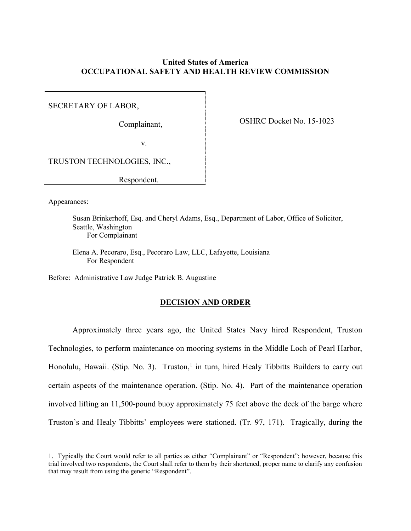# **United States of America OCCUPATIONAL SAFETY AND HEALTH REVIEW COMMISSION**

SECRETARY OF LABOR,

Complainant,

OSHRC Docket No. 15-1023

v.

TRUSTON TECHNOLOGIES, INC.,

Respondent.

Appearances:

 $\overline{a}$ 

Susan Brinkerhoff, Esq. and Cheryl Adams, Esq., Department of Labor, Office of Solicitor, Seattle, Washington For Complainant

Elena A. Pecoraro, Esq., Pecoraro Law, LLC, Lafayette, Louisiana For Respondent

Before: Administrative Law Judge Patrick B. Augustine

# **DECISION AND ORDER**

Approximately three years ago, the United States Navy hired Respondent, Truston Technologies, to perform maintenance on mooring systems in the Middle Loch of Pearl Harbor, Honolulu, Hawaii. (Stip. No. 3). Truston,<sup>1</sup> in turn, hired Healy Tibbitts Builders to carry out certain aspects of the maintenance operation. (Stip. No. 4). Part of the maintenance operation involved lifting an 11,500-pound buoy approximately 75 feet above the deck of the barge where Truston's and Healy Tibbitts' employees were stationed. (Tr. 97, 171). Tragically, during the

<sup>1.</sup> Typically the Court would refer to all parties as either "Complainant" or "Respondent"; however, because this trial involved two respondents, the Court shall refer to them by their shortened, proper name to clarify any confusion that may result from using the generic "Respondent".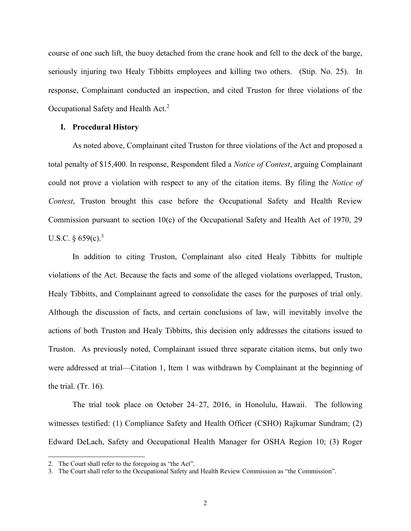course of one such lift, the buoy detached from the crane hook and fell to the deck of the barge, seriously injuring two Healy Tibbitts employees and killing two others. (Stip. No. 25). In response, Complainant conducted an inspection, and cited Truston for three violations of the Occupational Safety and Health Act.<sup>2</sup>

#### **I. Procedural History**

As noted above, Complainant cited Truston for three violations of the Act and proposed a total penalty of \$15,400. In response, Respondent filed a *Notice of Contest*, arguing Complainant could not prove a violation with respect to any of the citation items. By filing the *Notice of Contest*, Truston brought this case before the Occupational Safety and Health Review Commission pursuant to section 10(c) of the Occupational Safety and Health Act of 1970, 29 U.S.C.  $\S 659(c).$ <sup>3</sup>

In addition to citing Truston, Complainant also cited Healy Tibbitts for multiple violations of the Act. Because the facts and some of the alleged violations overlapped, Truston, Healy Tibbitts, and Complainant agreed to consolidate the cases for the purposes of trial only. Although the discussion of facts, and certain conclusions of law, will inevitably involve the actions of both Truston and Healy Tibbitts, this decision only addresses the citations issued to Truston. As previously noted, Complainant issued three separate citation items, but only two were addressed at trial—Citation 1, Item 1 was withdrawn by Complainant at the beginning of the trial. (Tr. 16).

The trial took place on October 24–27, 2016, in Honolulu, Hawaii. The following witnesses testified: (1) Compliance Safety and Health Officer (CSHO) Rajkumar Sundram; (2) Edward DeLach, Safety and Occupational Health Manager for OSHA Region 10; (3) Roger

<sup>2.</sup> The Court shall refer to the foregoing as "the Act".

<sup>3.</sup> The Court shall refer to the Occupational Safety and Health Review Commission as "the Commission".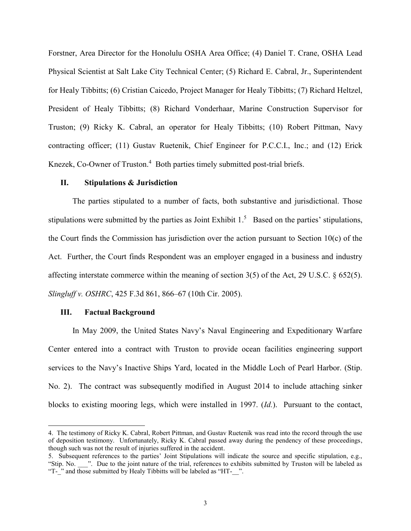Forstner, Area Director for the Honolulu OSHA Area Office; (4) Daniel T. Crane, OSHA Lead Physical Scientist at Salt Lake City Technical Center; (5) Richard E. Cabral, Jr., Superintendent for Healy Tibbitts; (6) Cristian Caicedo, Project Manager for Healy Tibbitts; (7) Richard Heltzel, President of Healy Tibbitts; (8) Richard Vonderhaar, Marine Construction Supervisor for Truston; (9) Ricky K. Cabral, an operator for Healy Tibbitts; (10) Robert Pittman, Navy contracting officer; (11) Gustav Ruetenik, Chief Engineer for P.C.C.I., Inc.; and (12) Erick Knezek, Co-Owner of Truston. 4 Both parties timely submitted post-trial briefs.

### **II. Stipulations & Jurisdiction**

The parties stipulated to a number of facts, both substantive and jurisdictional. Those stipulations were submitted by the parties as Joint Exhibit 1.<sup>5</sup> Based on the parties' stipulations, the Court finds the Commission has jurisdiction over the action pursuant to Section 10(c) of the Act. Further, the Court finds Respondent was an employer engaged in a business and industry affecting interstate commerce within the meaning of section 3(5) of the Act, 29 U.S.C. § 652(5). *Slingluff v. OSHRC*, 425 F.3d 861, 866–67 (10th Cir. 2005).

#### **III. Factual Background**

 $\overline{a}$ 

In May 2009, the United States Navy's Naval Engineering and Expeditionary Warfare Center entered into a contract with Truston to provide ocean facilities engineering support services to the Navy's Inactive Ships Yard, located in the Middle Loch of Pearl Harbor. (Stip. No. 2). The contract was subsequently modified in August 2014 to include attaching sinker blocks to existing mooring legs, which were installed in 1997. (*Id.*). Pursuant to the contact,

<sup>4.</sup> The testimony of Ricky K. Cabral, Robert Pittman, and Gustav Ruetenik was read into the record through the use of deposition testimony. Unfortunately, Ricky K. Cabral passed away during the pendency of these proceedings, though such was not the result of injuries suffered in the accident.

<sup>5.</sup> Subsequent references to the parties' Joint Stipulations will indicate the source and specific stipulation, e.g., "Stip. No. \_\_\_". Due to the joint nature of the trial, references to exhibits submitted by Truston will be labeled as "T-" and those submitted by Healy Tibbitts will be labeled as "HT-".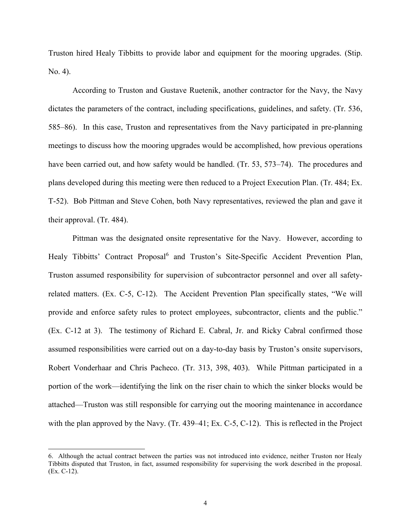Truston hired Healy Tibbitts to provide labor and equipment for the mooring upgrades. (Stip. No. 4).

According to Truston and Gustave Ruetenik, another contractor for the Navy, the Navy dictates the parameters of the contract, including specifications, guidelines, and safety. (Tr. 536, 585–86). In this case, Truston and representatives from the Navy participated in pre-planning meetings to discuss how the mooring upgrades would be accomplished, how previous operations have been carried out, and how safety would be handled. (Tr. 53, 573–74). The procedures and plans developed during this meeting were then reduced to a Project Execution Plan. (Tr. 484; Ex. T-52). Bob Pittman and Steve Cohen, both Navy representatives, reviewed the plan and gave it their approval. (Tr. 484).

Pittman was the designated onsite representative for the Navy. However, according to Healy Tibbitts' Contract Proposal<sup>6</sup> and Truston's Site-Specific Accident Prevention Plan, Truston assumed responsibility for supervision of subcontractor personnel and over all safetyrelated matters. (Ex. C-5, C-12). The Accident Prevention Plan specifically states, "We will provide and enforce safety rules to protect employees, subcontractor, clients and the public." (Ex. C-12 at 3). The testimony of Richard E. Cabral, Jr. and Ricky Cabral confirmed those assumed responsibilities were carried out on a day-to-day basis by Truston's onsite supervisors, Robert Vonderhaar and Chris Pacheco. (Tr. 313, 398, 403). While Pittman participated in a portion of the work—identifying the link on the riser chain to which the sinker blocks would be attached—Truston was still responsible for carrying out the mooring maintenance in accordance with the plan approved by the Navy. (Tr. 439–41; Ex. C-5, C-12). This is reflected in the Project

<sup>6.</sup> Although the actual contract between the parties was not introduced into evidence, neither Truston nor Healy Tibbitts disputed that Truston, in fact, assumed responsibility for supervising the work described in the proposal. (Ex. C-12).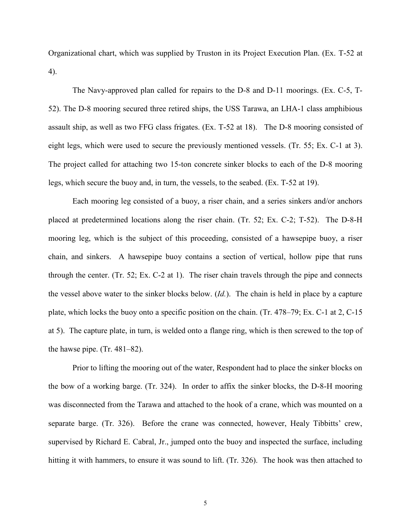Organizational chart, which was supplied by Truston in its Project Execution Plan. (Ex. T-52 at 4).

The Navy-approved plan called for repairs to the D-8 and D-11 moorings. (Ex. C-5, T-52). The D-8 mooring secured three retired ships, the USS Tarawa, an LHA-1 class amphibious assault ship, as well as two FFG class frigates. (Ex. T-52 at 18). The D-8 mooring consisted of eight legs, which were used to secure the previously mentioned vessels. (Tr. 55; Ex. C-1 at 3). The project called for attaching two 15-ton concrete sinker blocks to each of the D-8 mooring legs, which secure the buoy and, in turn, the vessels, to the seabed. (Ex. T-52 at 19).

Each mooring leg consisted of a buoy, a riser chain, and a series sinkers and/or anchors placed at predetermined locations along the riser chain. (Tr. 52; Ex. C-2; T-52). The D-8-H mooring leg, which is the subject of this proceeding, consisted of a hawsepipe buoy, a riser chain, and sinkers. A hawsepipe buoy contains a section of vertical, hollow pipe that runs through the center. (Tr. 52; Ex. C-2 at 1). The riser chain travels through the pipe and connects the vessel above water to the sinker blocks below. (*Id.*). The chain is held in place by a capture plate, which locks the buoy onto a specific position on the chain. (Tr. 478–79; Ex. C-1 at 2, C-15 at 5). The capture plate, in turn, is welded onto a flange ring, which is then screwed to the top of the hawse pipe. (Tr. 481–82).

Prior to lifting the mooring out of the water, Respondent had to place the sinker blocks on the bow of a working barge. (Tr. 324). In order to affix the sinker blocks, the D-8-H mooring was disconnected from the Tarawa and attached to the hook of a crane, which was mounted on a separate barge. (Tr. 326). Before the crane was connected, however, Healy Tibbitts' crew, supervised by Richard E. Cabral, Jr., jumped onto the buoy and inspected the surface, including hitting it with hammers, to ensure it was sound to lift. (Tr. 326). The hook was then attached to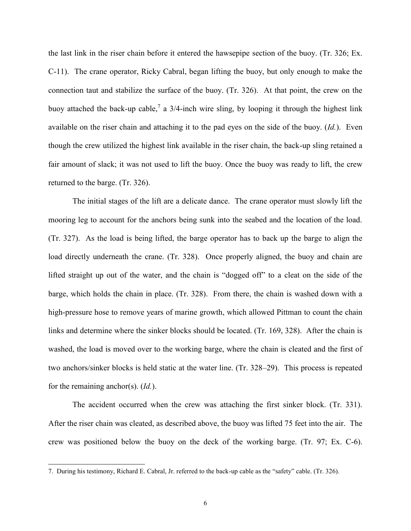the last link in the riser chain before it entered the hawsepipe section of the buoy. (Tr. 326; Ex. C-11). The crane operator, Ricky Cabral, began lifting the buoy, but only enough to make the connection taut and stabilize the surface of the buoy. (Tr. 326). At that point, the crew on the buoy attached the back-up cable,<sup>7</sup> a 3/4-inch wire sling, by looping it through the highest link available on the riser chain and attaching it to the pad eyes on the side of the buoy. (*Id.*). Even though the crew utilized the highest link available in the riser chain, the back-up sling retained a fair amount of slack; it was not used to lift the buoy. Once the buoy was ready to lift, the crew returned to the barge. (Tr. 326).

The initial stages of the lift are a delicate dance. The crane operator must slowly lift the mooring leg to account for the anchors being sunk into the seabed and the location of the load. (Tr. 327). As the load is being lifted, the barge operator has to back up the barge to align the load directly underneath the crane. (Tr. 328). Once properly aligned, the buoy and chain are lifted straight up out of the water, and the chain is "dogged off" to a cleat on the side of the barge, which holds the chain in place. (Tr. 328). From there, the chain is washed down with a high-pressure hose to remove years of marine growth, which allowed Pittman to count the chain links and determine where the sinker blocks should be located. (Tr. 169, 328). After the chain is washed, the load is moved over to the working barge, where the chain is cleated and the first of two anchors/sinker blocks is held static at the water line. (Tr. 328–29). This process is repeated for the remaining anchor(s). (*Id.*).

The accident occurred when the crew was attaching the first sinker block. (Tr. 331). After the riser chain was cleated, as described above, the buoy was lifted 75 feet into the air. The crew was positioned below the buoy on the deck of the working barge. (Tr. 97; Ex. C-6).

<sup>7.</sup> During his testimony, Richard E. Cabral, Jr. referred to the back-up cable as the "safety" cable. (Tr. 326).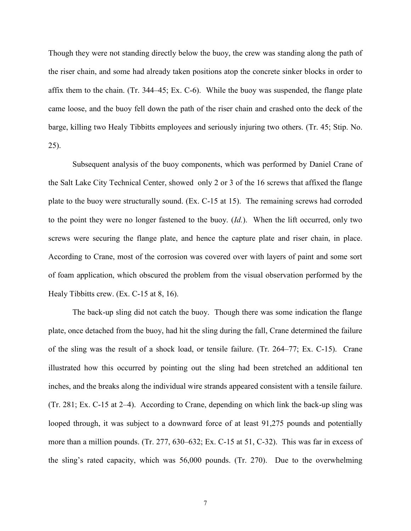Though they were not standing directly below the buoy, the crew was standing along the path of the riser chain, and some had already taken positions atop the concrete sinker blocks in order to affix them to the chain. (Tr. 344–45; Ex. C-6). While the buoy was suspended, the flange plate came loose, and the buoy fell down the path of the riser chain and crashed onto the deck of the barge, killing two Healy Tibbitts employees and seriously injuring two others. (Tr. 45; Stip. No. 25).

Subsequent analysis of the buoy components, which was performed by Daniel Crane of the Salt Lake City Technical Center, showed only 2 or 3 of the 16 screws that affixed the flange plate to the buoy were structurally sound. (Ex. C-15 at 15). The remaining screws had corroded to the point they were no longer fastened to the buoy. (*Id.*). When the lift occurred, only two screws were securing the flange plate, and hence the capture plate and riser chain, in place. According to Crane, most of the corrosion was covered over with layers of paint and some sort of foam application, which obscured the problem from the visual observation performed by the Healy Tibbitts crew. (Ex. C-15 at 8, 16).

The back-up sling did not catch the buoy. Though there was some indication the flange plate, once detached from the buoy, had hit the sling during the fall, Crane determined the failure of the sling was the result of a shock load, or tensile failure. (Tr. 264–77; Ex. C-15). Crane illustrated how this occurred by pointing out the sling had been stretched an additional ten inches, and the breaks along the individual wire strands appeared consistent with a tensile failure. (Tr. 281; Ex. C-15 at 2–4). According to Crane, depending on which link the back-up sling was looped through, it was subject to a downward force of at least 91,275 pounds and potentially more than a million pounds. (Tr. 277, 630–632; Ex. C-15 at 51, C-32). This was far in excess of the sling's rated capacity, which was 56,000 pounds. (Tr. 270). Due to the overwhelming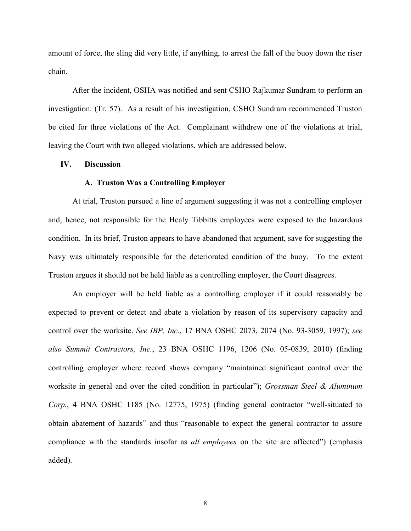amount of force, the sling did very little, if anything, to arrest the fall of the buoy down the riser chain.

After the incident, OSHA was notified and sent CSHO Rajkumar Sundram to perform an investigation. (Tr. 57). As a result of his investigation, CSHO Sundram recommended Truston be cited for three violations of the Act. Complainant withdrew one of the violations at trial, leaving the Court with two alleged violations, which are addressed below.

## **IV. Discussion**

### **A. Truston Was a Controlling Employer**

At trial, Truston pursued a line of argument suggesting it was not a controlling employer and, hence, not responsible for the Healy Tibbitts employees were exposed to the hazardous condition. In its brief, Truston appears to have abandoned that argument, save for suggesting the Navy was ultimately responsible for the deteriorated condition of the buoy. To the extent Truston argues it should not be held liable as a controlling employer, the Court disagrees.

An employer will be held liable as a controlling employer if it could reasonably be expected to prevent or detect and abate a violation by reason of its supervisory capacity and control over the worksite. *See IBP, Inc.*, 17 BNA OSHC 2073, 2074 (No. 93-3059, 1997); *see also Summit Contractors, Inc.*, 23 BNA OSHC 1196, 1206 (No. 05-0839, 2010) (finding controlling employer where record shows company "maintained significant control over the worksite in general and over the cited condition in particular"); *Grossman Steel & Aluminum Corp.*, 4 BNA OSHC 1185 (No. 12775, 1975) (finding general contractor "well-situated to obtain abatement of hazards" and thus "reasonable to expect the general contractor to assure compliance with the standards insofar as *all employees* on the site are affected") (emphasis added).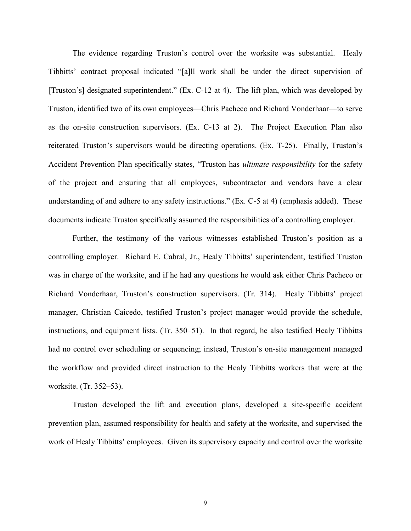The evidence regarding Truston's control over the worksite was substantial. Healy Tibbitts' contract proposal indicated "[a]ll work shall be under the direct supervision of [Truston's] designated superintendent." (Ex. C-12 at 4). The lift plan, which was developed by Truston, identified two of its own employees—Chris Pacheco and Richard Vonderhaar—to serve as the on-site construction supervisors. (Ex. C-13 at 2). The Project Execution Plan also reiterated Truston's supervisors would be directing operations. (Ex. T-25). Finally, Truston's Accident Prevention Plan specifically states, "Truston has *ultimate responsibility* for the safety of the project and ensuring that all employees, subcontractor and vendors have a clear understanding of and adhere to any safety instructions." (Ex. C-5 at 4) (emphasis added). These documents indicate Truston specifically assumed the responsibilities of a controlling employer.

Further, the testimony of the various witnesses established Truston's position as a controlling employer. Richard E. Cabral, Jr., Healy Tibbitts' superintendent, testified Truston was in charge of the worksite, and if he had any questions he would ask either Chris Pacheco or Richard Vonderhaar, Truston's construction supervisors. (Tr. 314). Healy Tibbitts' project manager, Christian Caicedo, testified Truston's project manager would provide the schedule, instructions, and equipment lists. (Tr. 350–51). In that regard, he also testified Healy Tibbitts had no control over scheduling or sequencing; instead, Truston's on-site management managed the workflow and provided direct instruction to the Healy Tibbitts workers that were at the worksite. (Tr. 352–53).

Truston developed the lift and execution plans, developed a site-specific accident prevention plan, assumed responsibility for health and safety at the worksite, and supervised the work of Healy Tibbitts' employees. Given its supervisory capacity and control over the worksite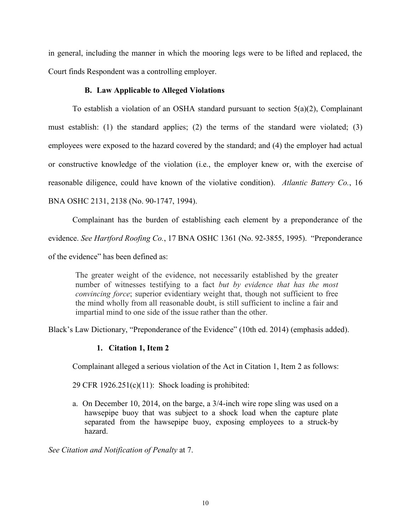in general, including the manner in which the mooring legs were to be lifted and replaced, the Court finds Respondent was a controlling employer.

# **B. Law Applicable to Alleged Violations**

To establish a violation of an OSHA standard pursuant to section 5(a)(2), Complainant must establish: (1) the standard applies; (2) the terms of the standard were violated; (3) employees were exposed to the hazard covered by the standard; and (4) the employer had actual or constructive knowledge of the violation (i.e., the employer knew or, with the exercise of reasonable diligence, could have known of the violative condition). *Atlantic Battery Co.*, 16 BNA OSHC 2131, 2138 (No. 90-1747, 1994).

Complainant has the burden of establishing each element by a preponderance of the evidence. *See Hartford Roofing Co.*, 17 BNA OSHC 1361 (No. 92-3855, 1995). "Preponderance of the evidence" has been defined as:

The greater weight of the evidence, not necessarily established by the greater number of witnesses testifying to a fact *but by evidence that has the most convincing force*; superior evidentiary weight that, though not sufficient to free the mind wholly from all reasonable doubt, is still sufficient to incline a fair and impartial mind to one side of the issue rather than the other.

Black's Law Dictionary, "Preponderance of the Evidence" (10th ed. 2014) (emphasis added).

# **1. Citation 1, Item 2**

Complainant alleged a serious violation of the Act in Citation 1, Item 2 as follows:

29 CFR  $1926.251(c)(11)$ : Shock loading is prohibited:

a. On December 10, 2014, on the barge, a 3/4-inch wire rope sling was used on a hawsepipe buoy that was subject to a shock load when the capture plate separated from the hawsepipe buoy, exposing employees to a struck-by hazard.

*See Citation and Notification of Penalty* at 7.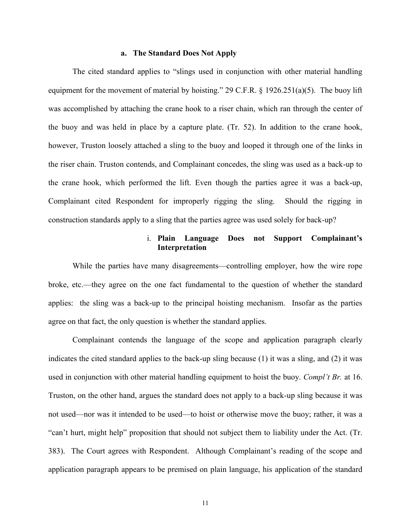#### **a. The Standard Does Not Apply**

The cited standard applies to "slings used in conjunction with other material handling equipment for the movement of material by hoisting." 29 C.F.R.  $\S$  1926.251(a)(5). The buoy lift was accomplished by attaching the crane hook to a riser chain, which ran through the center of the buoy and was held in place by a capture plate. (Tr. 52). In addition to the crane hook, however, Truston loosely attached a sling to the buoy and looped it through one of the links in the riser chain. Truston contends, and Complainant concedes, the sling was used as a back-up to the crane hook, which performed the lift. Even though the parties agree it was a back-up, Complainant cited Respondent for improperly rigging the sling. Should the rigging in construction standards apply to a sling that the parties agree was used solely for back-up?

# i. **Plain Language Does not Support Complainant's Interpretation**

While the parties have many disagreements—controlling employer, how the wire rope broke, etc.—they agree on the one fact fundamental to the question of whether the standard applies: the sling was a back-up to the principal hoisting mechanism. Insofar as the parties agree on that fact, the only question is whether the standard applies.

Complainant contends the language of the scope and application paragraph clearly indicates the cited standard applies to the back-up sling because (1) it was a sling, and (2) it was used in conjunction with other material handling equipment to hoist the buoy. *Compl't Br.* at 16. Truston, on the other hand, argues the standard does not apply to a back-up sling because it was not used—nor was it intended to be used—to hoist or otherwise move the buoy; rather, it was a "can't hurt, might help" proposition that should not subject them to liability under the Act. (Tr. 383). The Court agrees with Respondent. Although Complainant's reading of the scope and application paragraph appears to be premised on plain language, his application of the standard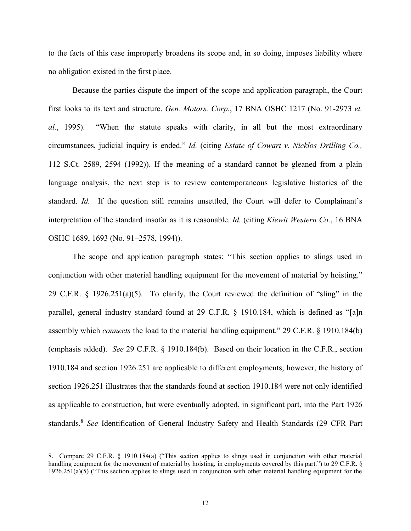to the facts of this case improperly broadens its scope and, in so doing, imposes liability where no obligation existed in the first place.

Because the parties dispute the import of the scope and application paragraph, the Court first looks to its text and structure. *Gen. Motors. Corp.*, 17 BNA OSHC 1217 (No. 91-2973 *et. al.*, 1995). "When the statute speaks with clarity, in all but the most extraordinary circumstances, judicial inquiry is ended." *Id.* (citing *Estate of Cowart v. Nicklos Drilling Co.,* 112 S.Ct. 2589, 2594 (1992)). If the meaning of a standard cannot be gleaned from a plain language analysis, the next step is to review contemporaneous legislative histories of the standard. *Id.* If the question still remains unsettled, the Court will defer to Complainant's interpretation of the standard insofar as it is reasonable. *Id.* (citing *Kiewit Western Co.*, 16 BNA OSHC 1689, 1693 (No. 91–2578, 1994)).

The scope and application paragraph states: "This section applies to slings used in conjunction with other material handling equipment for the movement of material by hoisting." 29 C.F.R. § 1926.251(a)(5). To clarify, the Court reviewed the definition of "sling" in the parallel, general industry standard found at 29 C.F.R. § 1910.184, which is defined as "[a]n assembly which *connects* the load to the material handling equipment." 29 C.F.R. § 1910.184(b) (emphasis added). *See* 29 C.F.R. § 1910.184(b). Based on their location in the C.F.R., section 1910.184 and section 1926.251 are applicable to different employments; however, the history of section 1926.251 illustrates that the standards found at section 1910.184 were not only identified as applicable to construction, but were eventually adopted, in significant part, into the Part 1926 standards.<sup>8</sup> *See* Identification of General Industry Safety and Health Standards (29 CFR Part

<sup>8.</sup> Compare 29 C.F.R. § 1910.184(a) ("This section applies to slings used in conjunction with other material handling equipment for the movement of material by hoisting, in employments covered by this part.") to 29 C.F.R. § 1926.251(a)(5) ("This section applies to slings used in conjunction with other material handling equipment for the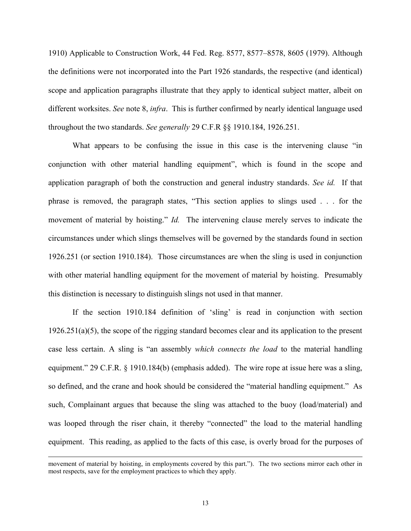1910) Applicable to Construction Work, 44 Fed. Reg. 8577, 8577–8578, 8605 (1979). Although the definitions were not incorporated into the Part 1926 standards, the respective (and identical) scope and application paragraphs illustrate that they apply to identical subject matter, albeit on different worksites. *See* note 8, *infra*. This is further confirmed by nearly identical language used throughout the two standards. *See generally* 29 C.F.R §§ 1910.184, 1926.251.

What appears to be confusing the issue in this case is the intervening clause "in conjunction with other material handling equipment", which is found in the scope and application paragraph of both the construction and general industry standards. *See id.* If that phrase is removed, the paragraph states, "This section applies to slings used . . . for the movement of material by hoisting." *Id.* The intervening clause merely serves to indicate the circumstances under which slings themselves will be governed by the standards found in section 1926.251 (or section 1910.184). Those circumstances are when the sling is used in conjunction with other material handling equipment for the movement of material by hoisting. Presumably this distinction is necessary to distinguish slings not used in that manner.

If the section 1910.184 definition of 'sling' is read in conjunction with section  $1926.251(a)(5)$ , the scope of the rigging standard becomes clear and its application to the present case less certain. A sling is "an assembly *which connects the load* to the material handling equipment." 29 C.F.R. § 1910.184(b) (emphasis added). The wire rope at issue here was a sling, so defined, and the crane and hook should be considered the "material handling equipment." As such, Complainant argues that because the sling was attached to the buoy (load/material) and was looped through the riser chain, it thereby "connected" the load to the material handling equipment. This reading, as applied to the facts of this case, is overly broad for the purposes of

movement of material by hoisting, in employments covered by this part."). The two sections mirror each other in most respects, save for the employment practices to which they apply.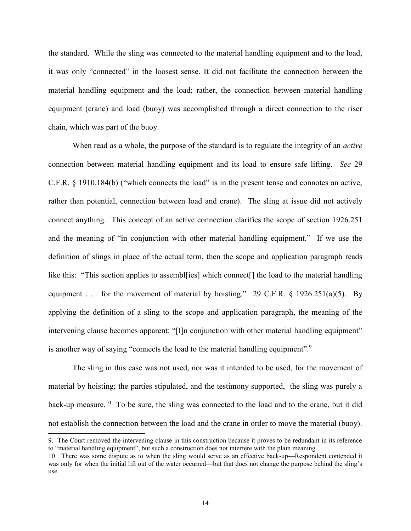the standard. While the sling was connected to the material handling equipment and to the load, it was only "connected" in the loosest sense. It did not facilitate the connection between the material handling equipment and the load; rather, the connection between material handling equipment (crane) and load (buoy) was accomplished through a direct connection to the riser chain, which was part of the buoy.

When read as a whole, the purpose of the standard is to regulate the integrity of an *active* connection between material handling equipment and its load to ensure safe lifting. *See* 29 C.F.R. § 1910.184(b) ("which connects the load" is in the present tense and connotes an active, rather than potential, connection between load and crane). The sling at issue did not actively connect anything. This concept of an active connection clarifies the scope of section 1926.251 and the meaning of "in conjunction with other material handling equipment." If we use the definition of slings in place of the actual term, then the scope and application paragraph reads like this: "This section applies to assembl[ies] which connect[] the load to the material handling equipment . . . for the movement of material by hoisting." 29 C.F.R.  $\S$  1926.251(a)(5). By applying the definition of a sling to the scope and application paragraph, the meaning of the intervening clause becomes apparent: "[I]n conjunction with other material handling equipment" is another way of saying "connects the load to the material handling equipment".<sup>9</sup>

The sling in this case was not used, nor was it intended to be used, for the movement of material by hoisting; the parties stipulated, and the testimony supported, the sling was purely a back-up measure.<sup>10</sup> To be sure, the sling was connected to the load and to the crane, but it did not establish the connection between the load and the crane in order to move the material (buoy).

<sup>9.</sup> The Court removed the intervening clause in this construction because it proves to be redundant in its reference to "material handling equipment", but such a construction does not interfere with the plain meaning.

<sup>10.</sup> There was some dispute as to when the sling would serve as an effective back-up—Respondent contended it was only for when the initial lift out of the water occurred—but that does not change the purpose behind the sling's use.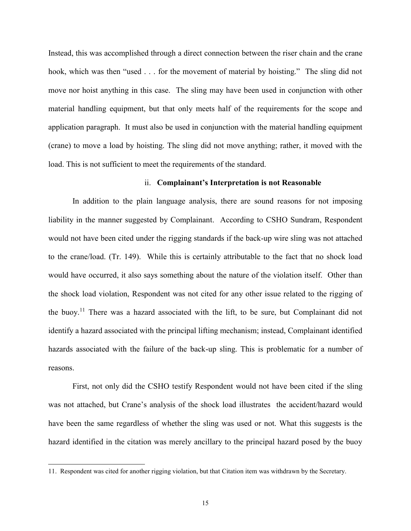Instead, this was accomplished through a direct connection between the riser chain and the crane hook, which was then "used . . . for the movement of material by hoisting." The sling did not move nor hoist anything in this case. The sling may have been used in conjunction with other material handling equipment, but that only meets half of the requirements for the scope and application paragraph. It must also be used in conjunction with the material handling equipment (crane) to move a load by hoisting. The sling did not move anything; rather, it moved with the load. This is not sufficient to meet the requirements of the standard.

## ii. **Complainant's Interpretation is not Reasonable**

In addition to the plain language analysis, there are sound reasons for not imposing liability in the manner suggested by Complainant. According to CSHO Sundram, Respondent would not have been cited under the rigging standards if the back-up wire sling was not attached to the crane/load. (Tr. 149). While this is certainly attributable to the fact that no shock load would have occurred, it also says something about the nature of the violation itself. Other than the shock load violation, Respondent was not cited for any other issue related to the rigging of the buoy.<sup>11</sup> There was a hazard associated with the lift, to be sure, but Complainant did not identify a hazard associated with the principal lifting mechanism; instead, Complainant identified hazards associated with the failure of the back-up sling. This is problematic for a number of reasons.

First, not only did the CSHO testify Respondent would not have been cited if the sling was not attached, but Crane's analysis of the shock load illustrates the accident/hazard would have been the same regardless of whether the sling was used or not. What this suggests is the hazard identified in the citation was merely ancillary to the principal hazard posed by the buoy

<sup>11.</sup> Respondent was cited for another rigging violation, but that Citation item was withdrawn by the Secretary.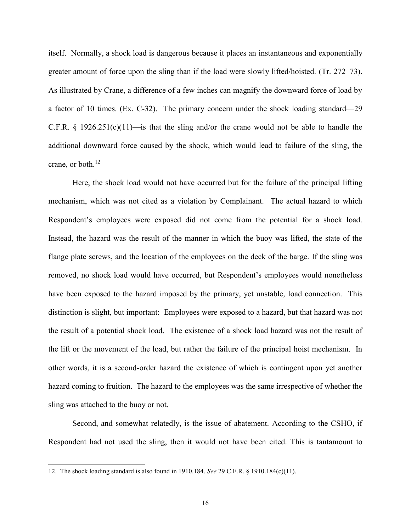itself. Normally, a shock load is dangerous because it places an instantaneous and exponentially greater amount of force upon the sling than if the load were slowly lifted/hoisted. (Tr. 272–73). As illustrated by Crane, a difference of a few inches can magnify the downward force of load by a factor of 10 times. (Ex. C-32). The primary concern under the shock loading standard—29 C.F.R. § 1926.251(c)(11)—is that the sling and/or the crane would not be able to handle the additional downward force caused by the shock, which would lead to failure of the sling, the crane, or both. $^{12}$ 

Here, the shock load would not have occurred but for the failure of the principal lifting mechanism, which was not cited as a violation by Complainant. The actual hazard to which Respondent's employees were exposed did not come from the potential for a shock load. Instead, the hazard was the result of the manner in which the buoy was lifted, the state of the flange plate screws, and the location of the employees on the deck of the barge. If the sling was removed, no shock load would have occurred, but Respondent's employees would nonetheless have been exposed to the hazard imposed by the primary, yet unstable, load connection. This distinction is slight, but important: Employees were exposed to a hazard, but that hazard was not the result of a potential shock load. The existence of a shock load hazard was not the result of the lift or the movement of the load, but rather the failure of the principal hoist mechanism. In other words, it is a second-order hazard the existence of which is contingent upon yet another hazard coming to fruition. The hazard to the employees was the same irrespective of whether the sling was attached to the buoy or not.

Second, and somewhat relatedly, is the issue of abatement. According to the CSHO, if Respondent had not used the sling, then it would not have been cited. This is tantamount to

<sup>12.</sup> The shock loading standard is also found in 1910.184. *See* 29 C.F.R. § 1910.184(c)(11).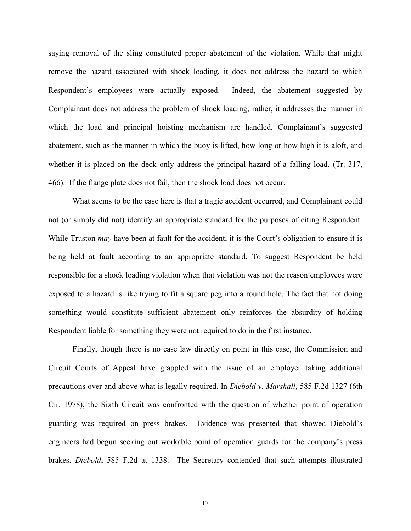saying removal of the sling constituted proper abatement of the violation. While that might remove the hazard associated with shock loading, it does not address the hazard to which Respondent's employees were actually exposed. Indeed, the abatement suggested by Complainant does not address the problem of shock loading; rather, it addresses the manner in which the load and principal hoisting mechanism are handled. Complainant's suggested abatement, such as the manner in which the buoy is lifted, how long or how high it is aloft, and whether it is placed on the deck only address the principal hazard of a falling load. (Tr. 317, 466). If the flange plate does not fail, then the shock load does not occur.

What seems to be the case here is that a tragic accident occurred, and Complainant could not (or simply did not) identify an appropriate standard for the purposes of citing Respondent. While Truston *may* have been at fault for the accident, it is the Court's obligation to ensure it is being held at fault according to an appropriate standard. To suggest Respondent be held responsible for a shock loading violation when that violation was not the reason employees were exposed to a hazard is like trying to fit a square peg into a round hole. The fact that not doing something would constitute sufficient abatement only reinforces the absurdity of holding Respondent liable for something they were not required to do in the first instance.

Finally, though there is no case law directly on point in this case, the Commission and Circuit Courts of Appeal have grappled with the issue of an employer taking additional precautions over and above what is legally required. In *Diebold v. Marshall*, 585 F.2d 1327 (6th Cir. 1978), the Sixth Circuit was confronted with the question of whether point of operation guarding was required on press brakes. Evidence was presented that showed Diebold's engineers had begun seeking out workable point of operation guards for the company's press brakes. *Diebold*, 585 F.2d at 1338. The Secretary contended that such attempts illustrated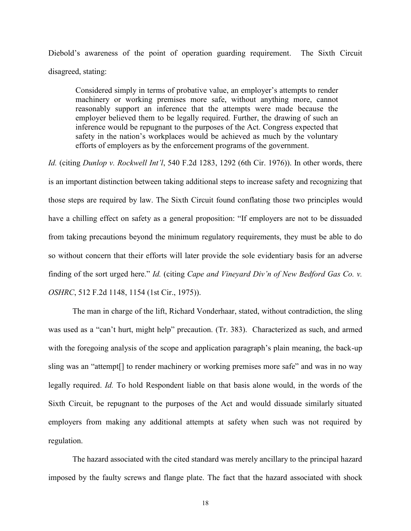Diebold's awareness of the point of operation guarding requirement. The Sixth Circuit disagreed, stating:

Considered simply in terms of probative value, an employer's attempts to render machinery or working premises more safe, without anything more, cannot reasonably support an inference that the attempts were made because the employer believed them to be legally required. Further, the drawing of such an inference would be repugnant to the purposes of the Act. Congress expected that safety in the nation's workplaces would be achieved as much by the voluntary efforts of employers as by the enforcement programs of the government.

*Id.* (citing *Dunlop v. Rockwell Int'l*, 540 F.2d 1283, 1292 (6th Cir. 1976)). In other words, there is an important distinction between taking additional steps to increase safety and recognizing that those steps are required by law. The Sixth Circuit found conflating those two principles would have a chilling effect on safety as a general proposition: "If employers are not to be dissuaded from taking precautions beyond the minimum regulatory requirements, they must be able to do so without concern that their efforts will later provide the sole evidentiary basis for an adverse finding of the sort urged here." *Id.* (citing *Cape and Vineyard Div'n of New Bedford Gas Co. v. OSHRC*, 512 F.2d 1148, 1154 (1st Cir., 1975)).

The man in charge of the lift, Richard Vonderhaar, stated, without contradiction, the sling was used as a "can't hurt, might help" precaution. (Tr. 383). Characterized as such, and armed with the foregoing analysis of the scope and application paragraph's plain meaning, the back-up sling was an "attempt[] to render machinery or working premises more safe" and was in no way legally required. *Id.* To hold Respondent liable on that basis alone would, in the words of the Sixth Circuit, be repugnant to the purposes of the Act and would dissuade similarly situated employers from making any additional attempts at safety when such was not required by regulation.

The hazard associated with the cited standard was merely ancillary to the principal hazard imposed by the faulty screws and flange plate. The fact that the hazard associated with shock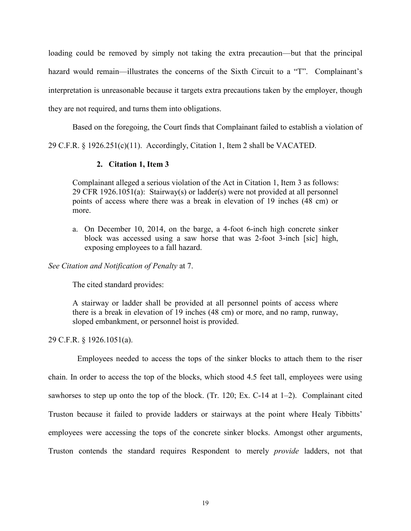loading could be removed by simply not taking the extra precaution—but that the principal hazard would remain—illustrates the concerns of the Sixth Circuit to a "T". Complainant's interpretation is unreasonable because it targets extra precautions taken by the employer, though they are not required, and turns them into obligations.

Based on the foregoing, the Court finds that Complainant failed to establish a violation of

29 C.F.R. § 1926.251(c)(11). Accordingly, Citation 1, Item 2 shall be VACATED.

# **2. Citation 1, Item 3**

Complainant alleged a serious violation of the Act in Citation 1, Item 3 as follows: 29 CFR 1926.1051(a): Stairway(s) or ladder(s) were not provided at all personnel points of access where there was a break in elevation of 19 inches (48 cm) or more.

a. On December 10, 2014, on the barge, a 4-foot 6-inch high concrete sinker block was accessed using a saw horse that was 2-foot 3-inch [sic] high, exposing employees to a fall hazard.

*See Citation and Notification of Penalty* at 7.

The cited standard provides:

A stairway or ladder shall be provided at all personnel points of access where there is a break in elevation of 19 inches (48 cm) or more, and no ramp, runway, sloped embankment, or personnel hoist is provided.

29 C.F.R. § 1926.1051(a).

Employees needed to access the tops of the sinker blocks to attach them to the riser chain. In order to access the top of the blocks, which stood 4.5 feet tall, employees were using sawhorses to step up onto the top of the block. (Tr. 120; Ex. C-14 at 1–2). Complainant cited Truston because it failed to provide ladders or stairways at the point where Healy Tibbitts' employees were accessing the tops of the concrete sinker blocks. Amongst other arguments, Truston contends the standard requires Respondent to merely *provide* ladders, not that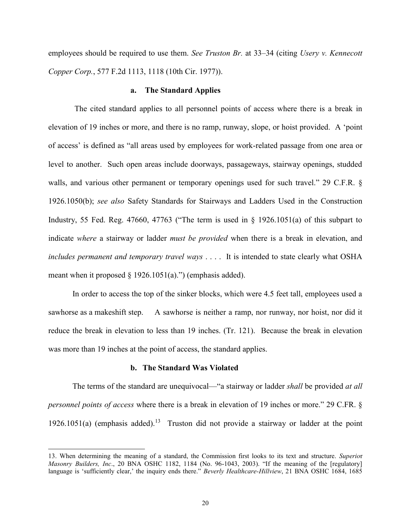employees should be required to use them. *See Truston Br.* at 33–34 (citing *Usery v. Kennecott Copper Corp.*, 577 F.2d 1113, 1118 (10th Cir. 1977)).

## **a. The Standard Applies**

The cited standard applies to all personnel points of access where there is a break in elevation of 19 inches or more, and there is no ramp, runway, slope, or hoist provided. A 'point of access' is defined as "all areas used by employees for work-related passage from one area or level to another. Such open areas include doorways, passageways, stairway openings, studded walls, and various other permanent or temporary openings used for such travel." 29 C.F.R. § 1926.1050(b); *see also* Safety Standards for Stairways and Ladders Used in the Construction Industry, 55 Fed. Reg. 47660, 47763 ("The term is used in  $\S$  1926.1051(a) of this subpart to indicate *where* a stairway or ladder *must be provided* when there is a break in elevation, and *includes permanent and temporary travel ways* . . . . It is intended to state clearly what OSHA meant when it proposed  $\S$  1926.1051(a).") (emphasis added).

In order to access the top of the sinker blocks, which were 4.5 feet tall, employees used a sawhorse as a makeshift step. A sawhorse is neither a ramp, nor runway, nor hoist, nor did it reduce the break in elevation to less than 19 inches. (Tr. 121). Because the break in elevation was more than 19 inches at the point of access, the standard applies.

## **b. The Standard Was Violated**

 $\overline{a}$ 

The terms of the standard are unequivocal—"a stairway or ladder *shall* be provided *at all personnel points of access* where there is a break in elevation of 19 inches or more." 29 C.FR. § 1926.1051(a) (emphasis added).<sup>13</sup> Truston did not provide a stairway or ladder at the point

<sup>13.</sup> When determining the meaning of a standard, the Commission first looks to its text and structure. *Superio*r *Masonry Builders, Inc*., 20 BNA OSHC 1182, 1184 (No. 96-1043, 2003). "If the meaning of the [regulatory] language is 'sufficiently clear,' the inquiry ends there." *Beverly Healthcare-Hillview*, 21 BNA OSHC 1684, 1685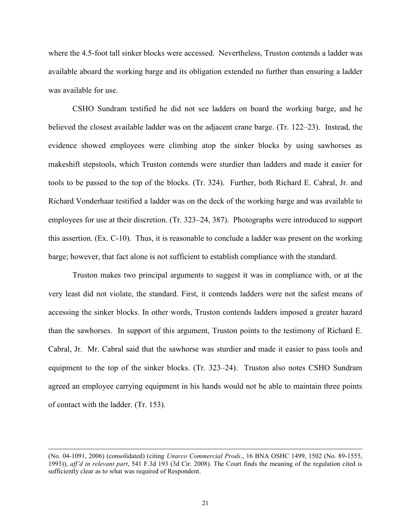where the 4.5-foot tall sinker blocks were accessed. Nevertheless, Truston contends a ladder was available aboard the working barge and its obligation extended no further than ensuring a ladder was available for use.

CSHO Sundram testified he did not see ladders on board the working barge, and he believed the closest available ladder was on the adjacent crane barge. (Tr. 122–23). Instead, the evidence showed employees were climbing atop the sinker blocks by using sawhorses as makeshift stepstools, which Truston contends were sturdier than ladders and made it easier for tools to be passed to the top of the blocks. (Tr. 324). Further, both Richard E. Cabral, Jr. and Richard Vonderhaar testified a ladder was on the deck of the working barge and was available to employees for use at their discretion. (Tr. 323–24, 387). Photographs were introduced to support this assertion. (Ex. C-10). Thus, it is reasonable to conclude a ladder was present on the working barge; however, that fact alone is not sufficient to establish compliance with the standard.

Truston makes two principal arguments to suggest it was in compliance with, or at the very least did not violate, the standard. First, it contends ladders were not the safest means of accessing the sinker blocks. In other words, Truston contends ladders imposed a greater hazard than the sawhorses. In support of this argument, Truston points to the testimony of Richard E. Cabral, Jr. Mr. Cabral said that the sawhorse was sturdier and made it easier to pass tools and equipment to the top of the sinker blocks. (Tr. 323–24). Truston also notes CSHO Sundram agreed an employee carrying equipment in his hands would not be able to maintain three points of contact with the ladder. (Tr. 153).

<sup>(</sup>No. 04-1091, 2006) (consolidated) (citing *Unarco Commercial Prods*., 16 BNA OSHC 1499, 1502 (No. 89-1555, 1993)), *aff'd in relevant part*, 541 F.3d 193 (3d Cir. 2008). The Court finds the meaning of the regulation cited is sufficiently clear as to what was required of Respondent.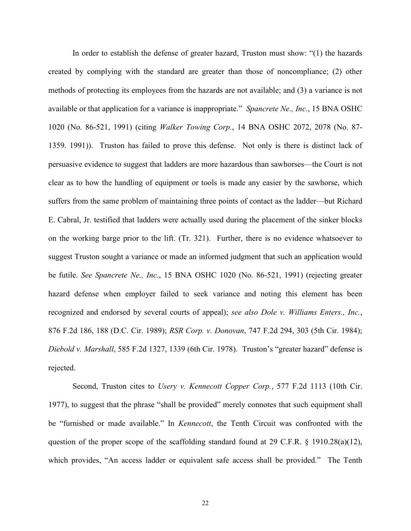In order to establish the defense of greater hazard, Truston must show: "(1) the hazards created by complying with the standard are greater than those of noncompliance; (2) other methods of protecting its employees from the hazards are not available; and (3) a variance is not available or that application for a variance is inappropriate." *Spancrete Ne., Inc.*, 15 BNA OSHC 1020 (No. 86-521, 1991) (citing *Walker Towing Corp.*, 14 BNA OSHC 2072, 2078 (No. 87- 1359. 1991)). Truston has failed to prove this defense. Not only is there is distinct lack of persuasive evidence to suggest that ladders are more hazardous than sawhorses—the Court is not clear as to how the handling of equipment or tools is made any easier by the sawhorse, which suffers from the same problem of maintaining three points of contact as the ladder—but Richard E. Cabral, Jr. testified that ladders were actually used during the placement of the sinker blocks on the working barge prior to the lift. (Tr. 321). Further, there is no evidence whatsoever to suggest Truston sought a variance or made an informed judgment that such an application would be futile. *See Spancrete Ne., Inc.*, 15 BNA OSHC 1020 (No. 86-521, 1991) (rejecting greater hazard defense when employer failed to seek variance and noting this element has been recognized and endorsed by several courts of appeal); *see also Dole v. Williams Enters., Inc.*, 876 F.2d 186, 188 (D.C. Cir. 1989); *RSR Corp. v. Donovan*, 747 F.2d 294, 303 (5th Cir. 1984); *Diebold v. Marshall*, 585 F.2d 1327, 1339 (6th Cir. 1978). Truston's "greater hazard" defense is rejected.

Second, Truston cites to *Usery v. Kennecott Copper Corp.*, 577 F.2d 1113 (10th Cir. 1977), to suggest that the phrase "shall be provided" merely connotes that such equipment shall be "furnished or made available." In *Kennecott*, the Tenth Circuit was confronted with the question of the proper scope of the scaffolding standard found at 29 C.F.R. § 1910.28(a)(12), which provides, "An access ladder or equivalent safe access shall be provided." The Tenth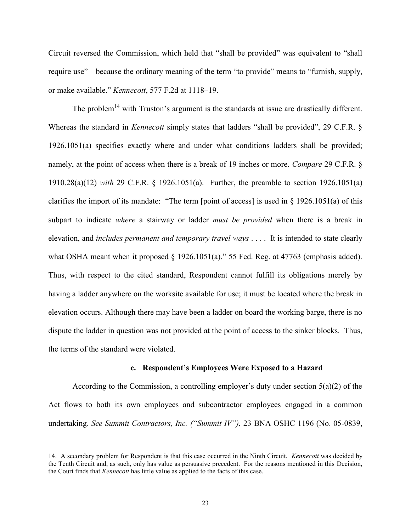Circuit reversed the Commission, which held that "shall be provided" was equivalent to "shall require use"—because the ordinary meaning of the term "to provide" means to "furnish, supply, or make available." *Kennecott*, 577 F.2d at 1118–19.

The problem<sup>14</sup> with Truston's argument is the standards at issue are drastically different. Whereas the standard in *Kennecott* simply states that ladders "shall be provided", 29 C.F.R. § 1926.1051(a) specifies exactly where and under what conditions ladders shall be provided; namely, at the point of access when there is a break of 19 inches or more. *Compare* 29 C.F.R. § 1910.28(a)(12) *with* 29 C.F.R. § 1926.1051(a). Further, the preamble to section 1926.1051(a) clarifies the import of its mandate: "The term [point of access] is used in § 1926.1051(a) of this subpart to indicate *where* a stairway or ladder *must be provided* when there is a break in elevation, and *includes permanent and temporary travel ways* . . . . It is intended to state clearly what OSHA meant when it proposed § 1926.1051(a)." 55 Fed. Reg. at 47763 (emphasis added). Thus, with respect to the cited standard, Respondent cannot fulfill its obligations merely by having a ladder anywhere on the worksite available for use; it must be located where the break in elevation occurs. Although there may have been a ladder on board the working barge, there is no dispute the ladder in question was not provided at the point of access to the sinker blocks. Thus, the terms of the standard were violated.

#### **c. Respondent's Employees Were Exposed to a Hazard**

According to the Commission, a controlling employer's duty under section 5(a)(2) of the Act flows to both its own employees and subcontractor employees engaged in a common undertaking. *See Summit Contractors, Inc. ("Summit IV")*, 23 BNA OSHC 1196 (No. 05-0839,

<sup>14.</sup> A secondary problem for Respondent is that this case occurred in the Ninth Circuit. *Kennecott* was decided by the Tenth Circuit and, as such, only has value as persuasive precedent. For the reasons mentioned in this Decision, the Court finds that *Kennecott* has little value as applied to the facts of this case.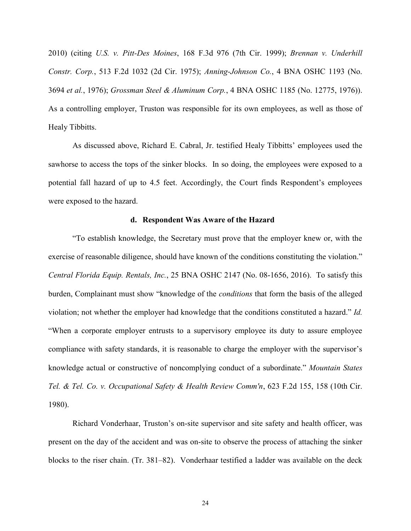2010) (citing *U.S. v. Pitt-Des Moines*, 168 F.3d 976 (7th Cir. 1999); *Brennan v. Underhill Constr. Corp.*, 513 F.2d 1032 (2d Cir. 1975); *Anning-Johnson Co.*, 4 BNA OSHC 1193 (No. 3694 *et al.*, 1976); *Grossman Steel & Aluminum Corp.*, 4 BNA OSHC 1185 (No. 12775, 1976)). As a controlling employer, Truston was responsible for its own employees, as well as those of Healy Tibbitts.

As discussed above, Richard E. Cabral, Jr. testified Healy Tibbitts' employees used the sawhorse to access the tops of the sinker blocks. In so doing, the employees were exposed to a potential fall hazard of up to 4.5 feet. Accordingly, the Court finds Respondent's employees were exposed to the hazard.

#### **d. Respondent Was Aware of the Hazard**

"To establish knowledge, the Secretary must prove that the employer knew or, with the exercise of reasonable diligence, should have known of the conditions constituting the violation." *Central Florida Equip. Rentals, Inc.*, 25 BNA OSHC 2147 (No. 08-1656, 2016). To satisfy this burden, Complainant must show "knowledge of the *conditions* that form the basis of the alleged violation; not whether the employer had knowledge that the conditions constituted a hazard." *Id.* "When a corporate employer entrusts to a supervisory employee its duty to assure employee compliance with safety standards, it is reasonable to charge the employer with the supervisor's knowledge actual or constructive of noncomplying conduct of a subordinate." *Mountain States Tel. & Tel. Co. v. Occupational Safety & Health Review Comm'n*, 623 F.2d 155, 158 (10th Cir. 1980).

Richard Vonderhaar, Truston's on-site supervisor and site safety and health officer, was present on the day of the accident and was on-site to observe the process of attaching the sinker blocks to the riser chain. (Tr. 381–82). Vonderhaar testified a ladder was available on the deck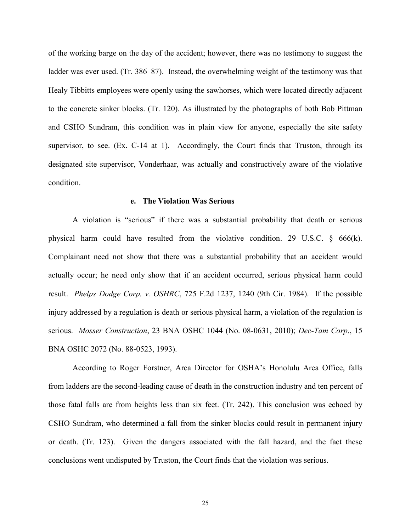of the working barge on the day of the accident; however, there was no testimony to suggest the ladder was ever used. (Tr. 386–87). Instead, the overwhelming weight of the testimony was that Healy Tibbitts employees were openly using the sawhorses, which were located directly adjacent to the concrete sinker blocks. (Tr. 120). As illustrated by the photographs of both Bob Pittman and CSHO Sundram, this condition was in plain view for anyone, especially the site safety supervisor, to see. (Ex. C-14 at 1). Accordingly, the Court finds that Truston, through its designated site supervisor, Vonderhaar, was actually and constructively aware of the violative condition.

### **e. The Violation Was Serious**

A violation is "serious" if there was a substantial probability that death or serious physical harm could have resulted from the violative condition. 29 U.S.C.  $\S$  666(k). Complainant need not show that there was a substantial probability that an accident would actually occur; he need only show that if an accident occurred, serious physical harm could result. *Phelps Dodge Corp. v. OSHRC*, 725 F.2d 1237, 1240 (9th Cir. 1984). If the possible injury addressed by a regulation is death or serious physical harm, a violation of the regulation is serious. *Mosser Construction*, 23 BNA OSHC 1044 (No. 08-0631, 2010); *Dec-Tam Corp*., 15 BNA OSHC 2072 (No. 88-0523, 1993).

According to Roger Forstner, Area Director for OSHA's Honolulu Area Office, falls from ladders are the second-leading cause of death in the construction industry and ten percent of those fatal falls are from heights less than six feet. (Tr. 242). This conclusion was echoed by CSHO Sundram, who determined a fall from the sinker blocks could result in permanent injury or death. (Tr. 123). Given the dangers associated with the fall hazard, and the fact these conclusions went undisputed by Truston, the Court finds that the violation was serious.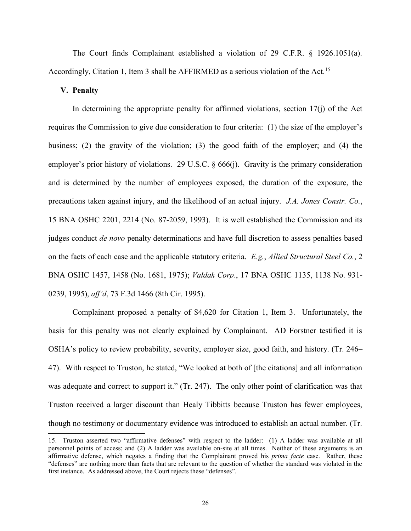The Court finds Complainant established a violation of 29 C.F.R. § 1926.1051(a). Accordingly, Citation 1, Item 3 shall be AFFIRMED as a serious violation of the Act.<sup>15</sup>

## **V. Penalty**

 $\overline{a}$ 

In determining the appropriate penalty for affirmed violations, section  $17(i)$  of the Act requires the Commission to give due consideration to four criteria: (1) the size of the employer's business; (2) the gravity of the violation; (3) the good faith of the employer; and (4) the employer's prior history of violations. 29 U.S.C. § 666(j). Gravity is the primary consideration and is determined by the number of employees exposed, the duration of the exposure, the precautions taken against injury, and the likelihood of an actual injury. *J.A. Jones Constr. Co.*, 15 BNA OSHC 2201, 2214 (No. 87-2059, 1993). It is well established the Commission and its judges conduct *de novo* penalty determinations and have full discretion to assess penalties based on the facts of each case and the applicable statutory criteria. *E.g.*, *Allied Structural Steel Co.*, 2 BNA OSHC 1457, 1458 (No. 1681, 1975); *Valdak Corp*., 17 BNA OSHC 1135, 1138 No. 931- 0239, 1995), *aff'd*, 73 F.3d 1466 (8th Cir. 1995).

Complainant proposed a penalty of \$4,620 for Citation 1, Item 3. Unfortunately, the basis for this penalty was not clearly explained by Complainant. AD Forstner testified it is OSHA's policy to review probability, severity, employer size, good faith, and history. (Tr. 246– 47). With respect to Truston, he stated, "We looked at both of [the citations] and all information was adequate and correct to support it." (Tr. 247). The only other point of clarification was that Truston received a larger discount than Healy Tibbitts because Truston has fewer employees, though no testimony or documentary evidence was introduced to establish an actual number. (Tr.

<sup>15.</sup> Truston asserted two "affirmative defenses" with respect to the ladder: (1) A ladder was available at all personnel points of access; and (2) A ladder was available on-site at all times. Neither of these arguments is an affirmative defense, which negates a finding that the Complainant proved his *prima facie* case. Rather, these "defenses" are nothing more than facts that are relevant to the question of whether the standard was violated in the first instance. As addressed above, the Court rejects these "defenses".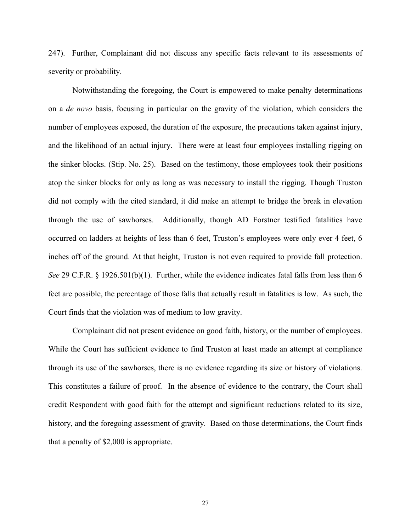247). Further, Complainant did not discuss any specific facts relevant to its assessments of severity or probability.

Notwithstanding the foregoing, the Court is empowered to make penalty determinations on a *de novo* basis, focusing in particular on the gravity of the violation, which considers the number of employees exposed, the duration of the exposure, the precautions taken against injury, and the likelihood of an actual injury. There were at least four employees installing rigging on the sinker blocks. (Stip. No. 25). Based on the testimony, those employees took their positions atop the sinker blocks for only as long as was necessary to install the rigging. Though Truston did not comply with the cited standard, it did make an attempt to bridge the break in elevation through the use of sawhorses. Additionally, though AD Forstner testified fatalities have occurred on ladders at heights of less than 6 feet, Truston's employees were only ever 4 feet, 6 inches off of the ground. At that height, Truston is not even required to provide fall protection. *See* 29 C.F.R. § 1926.501(b)(1). Further, while the evidence indicates fatal falls from less than 6 feet are possible, the percentage of those falls that actually result in fatalities is low. As such, the Court finds that the violation was of medium to low gravity.

Complainant did not present evidence on good faith, history, or the number of employees. While the Court has sufficient evidence to find Truston at least made an attempt at compliance through its use of the sawhorses, there is no evidence regarding its size or history of violations. This constitutes a failure of proof. In the absence of evidence to the contrary, the Court shall credit Respondent with good faith for the attempt and significant reductions related to its size, history, and the foregoing assessment of gravity. Based on those determinations, the Court finds that a penalty of \$2,000 is appropriate.